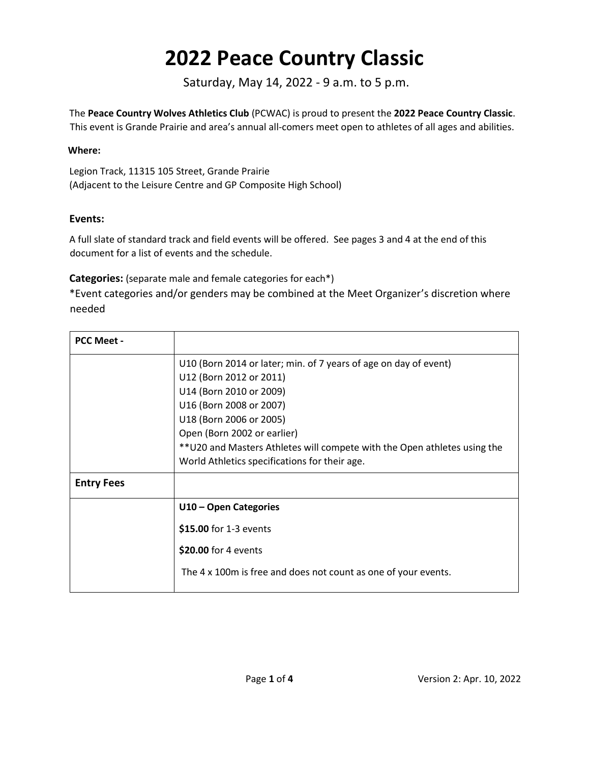Saturday, May 14, 2022 - 9 a.m. to 5 p.m.

The **Peace Country Wolves Athletics Club** (PCWAC) is proud to present the **2022 Peace Country Classic**. This event is Grande Prairie and area's annual all-comers meet open to athletes of all ages and abilities.

#### **Where:**

Legion Track, 11315 105 Street, Grande Prairie (Adjacent to the Leisure Centre and GP Composite High School)

#### **Events:**

A full slate of standard track and field events will be offered. See pages 3 and 4 at the end of this document for a list of events and the schedule.

#### **Categories:** (separate male and female categories for each\*)

\*Event categories and/or genders may be combined at the Meet Organizer's discretion where needed

| <b>PCC Meet -</b> |                                                                           |  |  |  |  |  |  |  |
|-------------------|---------------------------------------------------------------------------|--|--|--|--|--|--|--|
|                   | U10 (Born 2014 or later; min. of 7 years of age on day of event)          |  |  |  |  |  |  |  |
|                   | U12 (Born 2012 or 2011)                                                   |  |  |  |  |  |  |  |
|                   | U14 (Born 2010 or 2009)                                                   |  |  |  |  |  |  |  |
|                   | U16 (Born 2008 or 2007)                                                   |  |  |  |  |  |  |  |
|                   | U18 (Born 2006 or 2005)                                                   |  |  |  |  |  |  |  |
|                   | Open (Born 2002 or earlier)                                               |  |  |  |  |  |  |  |
|                   | ** U20 and Masters Athletes will compete with the Open athletes using the |  |  |  |  |  |  |  |
|                   | World Athletics specifications for their age.                             |  |  |  |  |  |  |  |
| <b>Entry Fees</b> |                                                                           |  |  |  |  |  |  |  |
|                   | U10 - Open Categories                                                     |  |  |  |  |  |  |  |
|                   | \$15.00 for 1-3 events                                                    |  |  |  |  |  |  |  |
|                   | \$20.00 for 4 events                                                      |  |  |  |  |  |  |  |
|                   | The 4 x 100m is free and does not count as one of your events.            |  |  |  |  |  |  |  |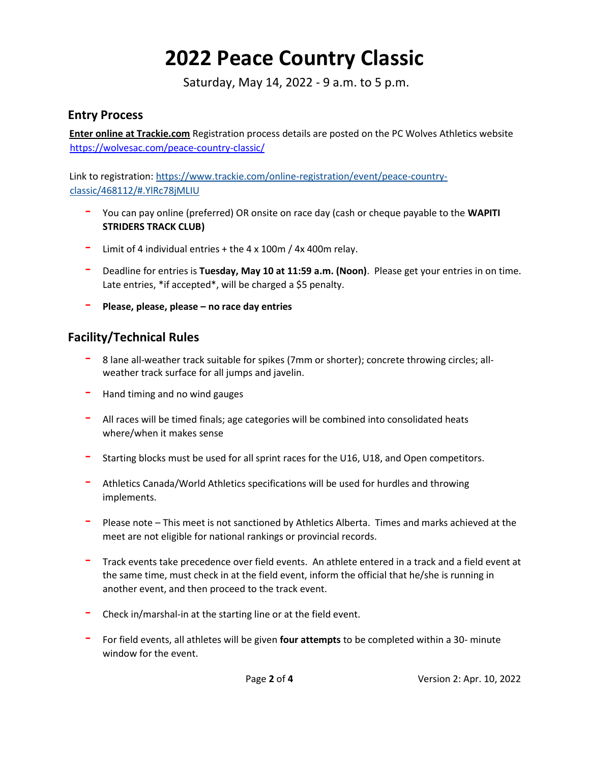Saturday, May 14, 2022 - 9 a.m. to 5 p.m.

#### **Entry Process**

**Enter online at Trackie.com** Registration process details are posted on the PC Wolves Athletics websit[e](https://wolvesac.com/peace-country-classic/) <https://wolvesac.com/peace-country-classic/>

Link to registration[: https://www.trackie.com/online-registration/event/peace-country](https://www.trackie.com/online-registration/event/peace-country-classic/468112/#.YlRc78jMLIU)[classic/468112/#.YlRc78jMLIU](https://www.trackie.com/online-registration/event/peace-country-classic/468112/#.YlRc78jMLIU)

- You can pay online (preferred) OR onsite on race day (cash or cheque payable to the **WAPITI STRIDERS TRACK CLUB)**
- Limit of 4 individual entries + the 4 x 100m / 4x 400m relay.
- Deadline for entries is **Tuesday, May 10 at 11:59 a.m. (Noon)**. Please get your entries in on time. Late entries, \*if accepted\*, will be charged a \$5 penalty.
- **Please, please, please – no race day entries**

## **Facility/Technical Rules**

- 8 lane all-weather track suitable for spikes (7mm or shorter); concrete throwing circles; allweather track surface for all jumps and javelin.
- Hand timing and no wind gauges
- $-$  All races will be timed finals; age categories will be combined into consolidated heats where/when it makes sense
- Starting blocks must be used for all sprint races for the U16, U18, and Open competitors.
- Athletics Canada/World Athletics specifications will be used for hurdles and throwing implements.
- Please note This meet is not sanctioned by Athletics Alberta. Times and marks achieved at the meet are not eligible for national rankings or provincial records.
- Track events take precedence over field events. An athlete entered in a track and a field event at the same time, must check in at the field event, inform the official that he/she is running in another event, and then proceed to the track event.
- Check in/marshal-in at the starting line or at the field event.
- For field events, all athletes will be given **four attempts** to be completed within a 30- minute window for the event.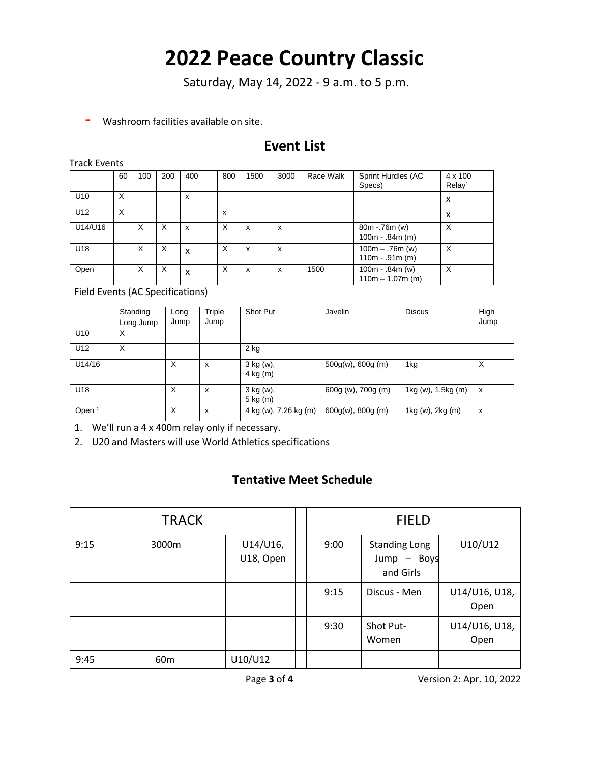Saturday, May 14, 2022 - 9 a.m. to 5 p.m.

- Washroom facilities available on site.

## **Event List**

Track Events

|                 | 60 | 100 | 200 | 400                       | 800 | 1500 | 3000 | Race Walk | Sprint Hurdles (AC<br>Specs)            | $4 \times 100$<br>Relay <sup>1</sup> |
|-----------------|----|-----|-----|---------------------------|-----|------|------|-----------|-----------------------------------------|--------------------------------------|
| U <sub>10</sub> | X  |     |     | X                         |     |      |      |           |                                         | x                                    |
| U12             | X  |     |     |                           | x   |      |      |           |                                         | x                                    |
| U14/U16         |    | X   | X   | $\boldsymbol{\mathsf{x}}$ | X   | x    | x    |           | $80m - 76m (w)$<br>$100m - .84m$ (m)    | X                                    |
| U18             |    | X   | X   | X                         | X   | x    | x    |           | $100m - .76m$ (w)<br>$110m - .91m(m)$   | X                                    |
| Open            |    | X   | X   | X                         | X   | X    | X    | 1500      | $100m - .84m$ (w)<br>$110m - 1.07m$ (m) | X                                    |

Field Events (AC Specifications)

|                   | Standing  | Long | Triple | Shot Put                | Javelin              | <b>Discus</b>      | High |
|-------------------|-----------|------|--------|-------------------------|----------------------|--------------------|------|
|                   | Long Jump | Jump | Jump   |                         |                      |                    | Jump |
| U <sub>10</sub>   | х         |      |        |                         |                      |                    |      |
| U12               | X         |      |        | $2$ kg                  |                      |                    |      |
| U14/16            |           | X    | X      | 3 kg (w),<br>4 kg (m)   | $500g(w)$ , 600g (m) | 1kg                | X    |
| U18               |           | X    | X      | 3 kg (w),<br>$5$ kg (m) | 600g (w), 700g (m)   | 1kg (w), 1.5kg (m) | X    |
| Open <sup>2</sup> |           | X    | X      | 4 kg (w), 7.26 kg (m)   | $600g(w)$ , 800g (m) | 1kg (w), 2kg (m)   | x    |

1. We'll run a 4 x 400m relay only if necessary.

2. U20 and Masters will use World Athletics specifications

### **Tentative Meet Schedule**

|      | <b>TRACK</b>                   |         | <b>FIELD</b> |                                                  |                       |  |
|------|--------------------------------|---------|--------------|--------------------------------------------------|-----------------------|--|
| 9:15 | U14/U16,<br>3000m<br>U18, Open |         | 9:00         | <b>Standing Long</b><br>Jump - Boys<br>and Girls | U10/U12               |  |
|      |                                |         | 9:15         | Discus - Men                                     | U14/U16, U18,<br>Open |  |
|      |                                |         | 9:30         | Shot Put-<br>Women                               | U14/U16, U18,<br>Open |  |
| 9:45 | 60 <sub>m</sub>                | U10/U12 |              |                                                  |                       |  |